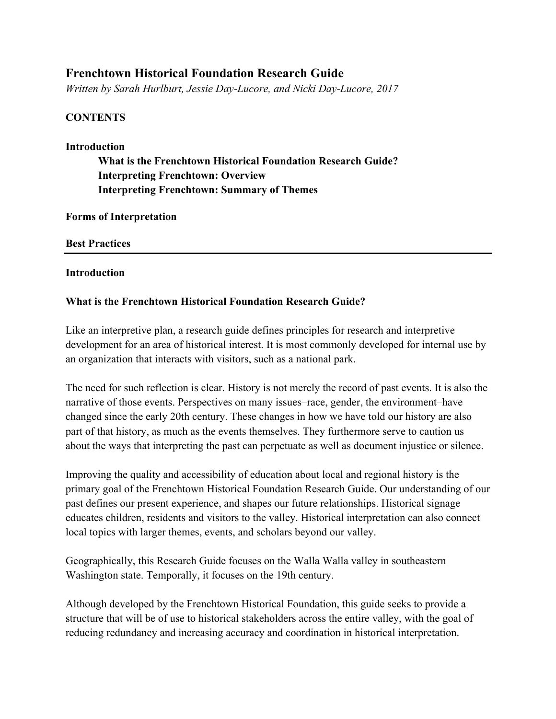# **Frenchtown Historical Foundation Research Guide**

*Written by Sarah Hurlburt, Jessie Day-Lucore, and Nicki Day-Lucore, 2017*

# **CONTENTS**

### **Introduction**

**What is the Frenchtown Historical Foundation Research Guide? Interpreting Frenchtown: Overview Interpreting Frenchtown: Summary of Themes**

**Forms of Interpretation**

## **Best Practices**

## **Introduction**

## **What is the Frenchtown Historical Foundation Research Guide?**

Like an interpretive plan, a research guide defines principles for research and interpretive development for an area of historical interest. It is most commonly developed for internal use by an organization that interacts with visitors, such as a national park.

The need for such reflection is clear. History is not merely the record of past events. It is also the narrative of those events. Perspectives on many issues–race, gender, the environment–have changed since the early 20th century. These changes in how we have told our history are also part of that history, as much as the events themselves. They furthermore serve to caution us about the ways that interpreting the past can perpetuate as well as document injustice or silence.

Improving the quality and accessibility of education about local and regional history is the primary goal of the Frenchtown Historical Foundation Research Guide. Our understanding of our past defines our present experience, and shapes our future relationships. Historical signage educates children, residents and visitors to the valley. Historical interpretation can also connect local topics with larger themes, events, and scholars beyond our valley.

Geographically, this Research Guide focuses on the Walla Walla valley in southeastern Washington state. Temporally, it focuses on the 19th century.

Although developed by the Frenchtown Historical Foundation, this guide seeks to provide a structure that will be of use to historical stakeholders across the entire valley, with the goal of reducing redundancy and increasing accuracy and coordination in historical interpretation.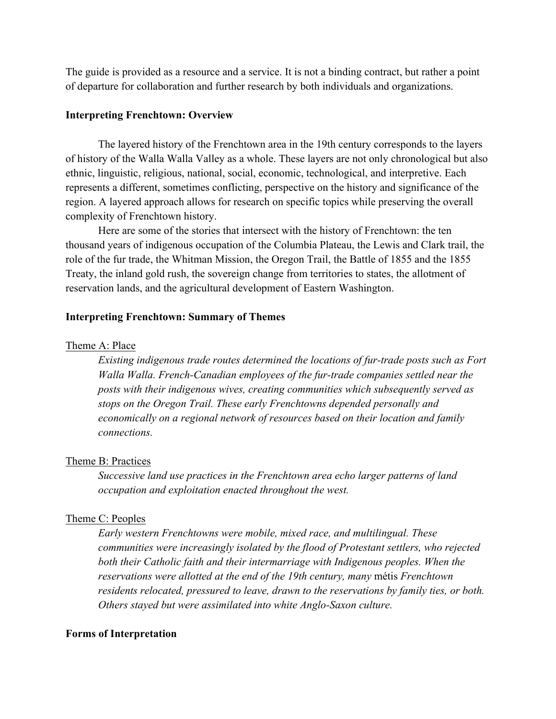The guide is provided as a resource and a service. It is not a binding contract, but rather a point of departure for collaboration and further research by both individuals and organizations.

### **Interpreting Frenchtown: Overview**

The layered history of the Frenchtown area in the 19th century corresponds to the layers of history of the Walla Walla Valley as a whole. These layers are not only chronological but also ethnic, linguistic, religious, national, social, economic, technological, and interpretive. Each represents a different, sometimes conflicting, perspective on the history and significance of the region. A layered approach allows for research on specific topics while preserving the overall complexity of Frenchtown history.

Here are some of the stories that intersect with the history of Frenchtown: the ten thousand years of indigenous occupation of the Columbia Plateau, the Lewis and Clark trail, the role of the fur trade, the Whitman Mission, the Oregon Trail, the Battle of 1855 and the 1855 Treaty, the inland gold rush, the sovereign change from territories to states, the allotment of reservation lands, and the agricultural development of Eastern Washington.

### **Interpreting Frenchtown: Summary of Themes**

#### Theme A: Place

*Existing indigenous trade routes determined the locations of fur-trade posts such as Fort Walla Walla. French-Canadian employees of the fur-trade companies settled near the posts with their indigenous wives, creating communities which subsequently served as stops on the Oregon Trail. These early Frenchtowns depended personally and economically on a regional network of resources based on their location and family connections.* 

### Theme B: Practices

*Successive land use practices in the Frenchtown area echo larger patterns of land occupation and exploitation enacted throughout the west.* 

#### Theme C: Peoples

*Early western Frenchtowns were mobile, mixed race, and multilingual. These communities were increasingly isolated by the flood of Protestant settlers, who rejected*  both their Catholic faith and their intermarriage with Indigenous peoples. When the *reservations were allotted at the end of the 19th century, many* métis *Frenchtown residents relocated, pressured to leave, drawn to the reservations by family ties, or both. Others stayed but were assimilated into white Anglo-Saxon culture.*

#### **Forms of Interpretation**